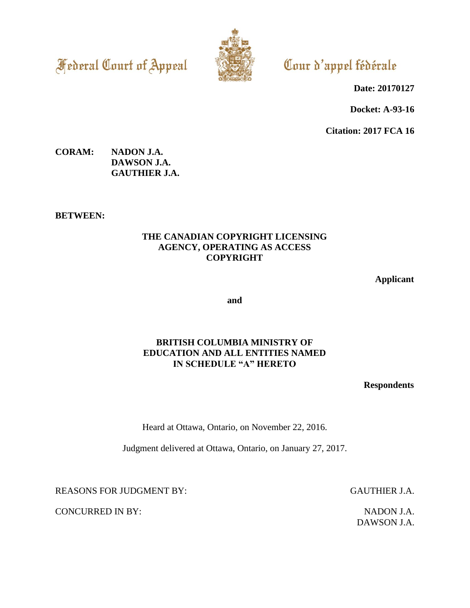**Federal Court of Appeal** 



Cour d'appel fédérale

**Date: 20170127**

**Docket: A-93-16**

**Citation: 2017 FCA 16**

# **CORAM: NADON J.A. DAWSON J.A. GAUTHIER J.A.**

**BETWEEN:**

# **THE CANADIAN COPYRIGHT LICENSING AGENCY, OPERATING AS ACCESS COPYRIGHT**

**Applicant**

**and**

# **BRITISH COLUMBIA MINISTRY OF EDUCATION AND ALL ENTITIES NAMED IN SCHEDULE "A" HERETO**

**Respondents**

Heard at Ottawa, Ontario, on November 22, 2016.

Judgment delivered at Ottawa, Ontario, on January 27, 2017.

REASONS FOR JUDGMENT BY: GAUTHIER J.A.

CONCURRED IN BY: NADON J.A.

DAWSON J.A.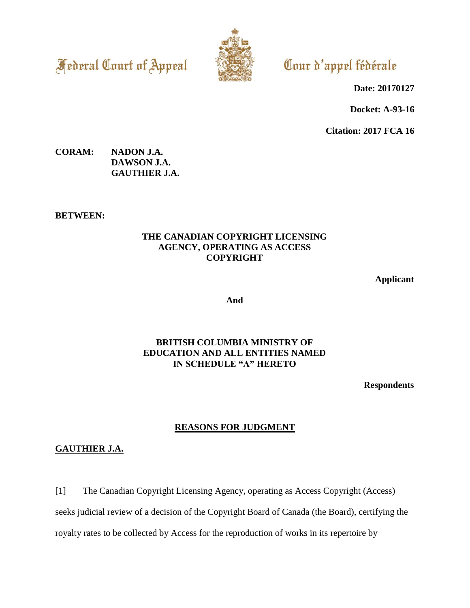**Federal Court of Appeal** 



Cour d'appel fédérale

**Date: 20170127**

**Docket: A-93-16**

**Citation: 2017 FCA 16**

### **CORAM: NADON J.A. DAWSON J.A. GAUTHIER J.A.**

**BETWEEN:**

# **THE CANADIAN COPYRIGHT LICENSING AGENCY, OPERATING AS ACCESS COPYRIGHT**

**Applicant**

**And**

# **BRITISH COLUMBIA MINISTRY OF EDUCATION AND ALL ENTITIES NAMED IN SCHEDULE "A" HERETO**

**Respondents**

# **REASONS FOR JUDGMENT**

# **GAUTHIER J.A.**

[1] The Canadian Copyright Licensing Agency, operating as Access Copyright (Access)

seeks judicial review of a decision of the Copyright Board of Canada (the Board), certifying the

royalty rates to be collected by Access for the reproduction of works in its repertoire by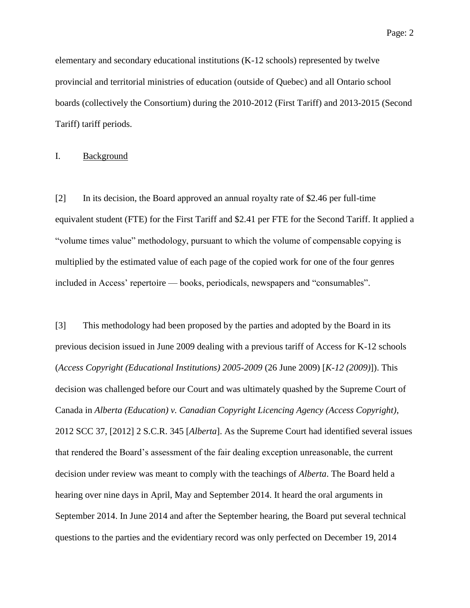elementary and secondary educational institutions (K-12 schools) represented by twelve provincial and territorial ministries of education (outside of Quebec) and all Ontario school boards (collectively the Consortium) during the 2010-2012 (First Tariff) and 2013-2015 (Second Tariff) tariff periods.

#### I. Background

[2] In its decision, the Board approved an annual royalty rate of \$2.46 per full-time equivalent student (FTE) for the First Tariff and \$2.41 per FTE for the Second Tariff. It applied a "volume times value" methodology, pursuant to which the volume of compensable copying is multiplied by the estimated value of each page of the copied work for one of the four genres included in Access' repertoire — books, periodicals, newspapers and "consumables".

[3] This methodology had been proposed by the parties and adopted by the Board in its previous decision issued in June 2009 dealing with a previous tariff of Access for K-12 schools (*Access Copyright (Educational Institutions) 2005-2009* (26 June 2009) [*K-12 (2009)*]). This decision was challenged before our Court and was ultimately quashed by the Supreme Court of Canada in *Alberta (Education) v. Canadian Copyright Licencing Agency (Access Copyright)*, 2012 SCC 37, [2012] 2 S.C.R. 345 [*Alberta*]. As the Supreme Court had identified several issues that rendered the Board's assessment of the fair dealing exception unreasonable, the current decision under review was meant to comply with the teachings of *Alberta*. The Board held a hearing over nine days in April, May and September 2014. It heard the oral arguments in September 2014. In June 2014 and after the September hearing, the Board put several technical questions to the parties and the evidentiary record was only perfected on December 19, 2014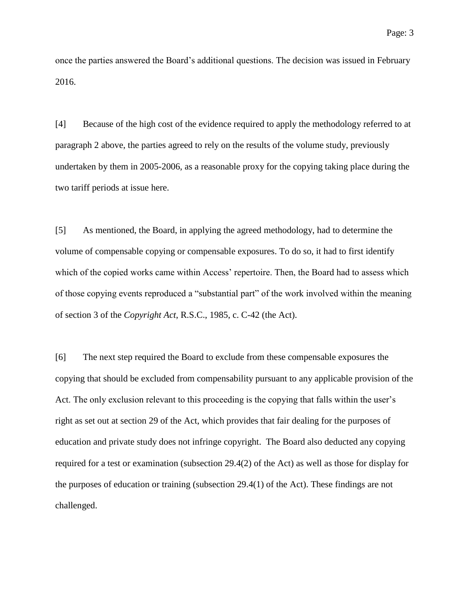once the parties answered the Board's additional questions. The decision was issued in February 2016.

[4] Because of the high cost of the evidence required to apply the methodology referred to at paragraph 2 above, the parties agreed to rely on the results of the volume study, previously undertaken by them in 2005-2006, as a reasonable proxy for the copying taking place during the two tariff periods at issue here.

[5] As mentioned, the Board, in applying the agreed methodology, had to determine the volume of compensable copying or compensable exposures. To do so, it had to first identify which of the copied works came within Access' repertoire. Then, the Board had to assess which of those copying events reproduced a "substantial part" of the work involved within the meaning of section 3 of the *Copyright Act*, R.S.C., 1985, c. C-42 (the Act).

[6] The next step required the Board to exclude from these compensable exposures the copying that should be excluded from compensability pursuant to any applicable provision of the Act. The only exclusion relevant to this proceeding is the copying that falls within the user's right as set out at section 29 of the Act, which provides that fair dealing for the purposes of education and private study does not infringe copyright. The Board also deducted any copying required for a test or examination (subsection 29.4(2) of the Act) as well as those for display for the purposes of education or training (subsection 29.4(1) of the Act). These findings are not challenged.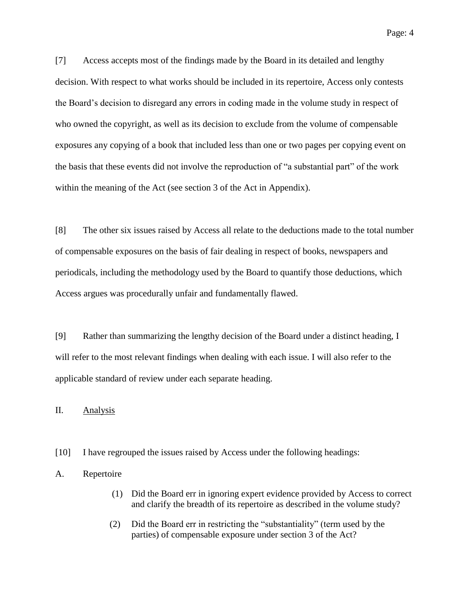[7] Access accepts most of the findings made by the Board in its detailed and lengthy decision. With respect to what works should be included in its repertoire, Access only contests the Board's decision to disregard any errors in coding made in the volume study in respect of who owned the copyright, as well as its decision to exclude from the volume of compensable exposures any copying of a book that included less than one or two pages per copying event on the basis that these events did not involve the reproduction of "a substantial part" of the work within the meaning of the Act (see section 3 of the Act in Appendix).

[8] The other six issues raised by Access all relate to the deductions made to the total number of compensable exposures on the basis of fair dealing in respect of books, newspapers and periodicals, including the methodology used by the Board to quantify those deductions, which Access argues was procedurally unfair and fundamentally flawed.

[9] Rather than summarizing the lengthy decision of the Board under a distinct heading, I will refer to the most relevant findings when dealing with each issue. I will also refer to the applicable standard of review under each separate heading.

II. Analysis

- [10] I have regrouped the issues raised by Access under the following headings:
- A. Repertoire
	- (1) Did the Board err in ignoring expert evidence provided by Access to correct and clarify the breadth of its repertoire as described in the volume study?
	- (2) Did the Board err in restricting the "substantiality" (term used by the parties) of compensable exposure under section 3 of the Act?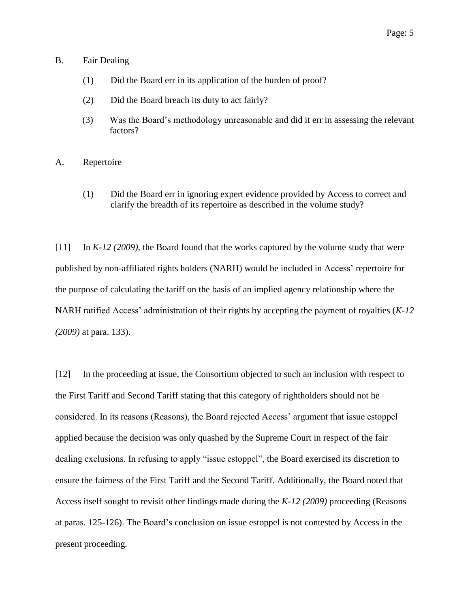#### B. Fair Dealing

- (1) Did the Board err in its application of the burden of proof?
- (2) Did the Board breach its duty to act fairly?
- (3) Was the Board's methodology unreasonable and did it err in assessing the relevant factors?
- A. Repertoire
	- (1) Did the Board err in ignoring expert evidence provided by Access to correct and clarify the breadth of its repertoire as described in the volume study?

[11] In *K-12 (2009)*, the Board found that the works captured by the volume study that were published by non-affiliated rights holders (NARH) would be included in Access' repertoire for the purpose of calculating the tariff on the basis of an implied agency relationship where the NARH ratified Access' administration of their rights by accepting the payment of royalties (*K-12 (2009)* at para. 133).

[12] In the proceeding at issue, the Consortium objected to such an inclusion with respect to the First Tariff and Second Tariff stating that this category of rightholders should not be considered. In its reasons (Reasons), the Board rejected Access' argument that issue estoppel applied because the decision was only quashed by the Supreme Court in respect of the fair dealing exclusions. In refusing to apply "issue estoppel", the Board exercised its discretion to ensure the fairness of the First Tariff and the Second Tariff. Additionally, the Board noted that Access itself sought to revisit other findings made during the *K-12 (2009)* proceeding (Reasons at paras. 125-126). The Board's conclusion on issue estoppel is not contested by Access in the present proceeding.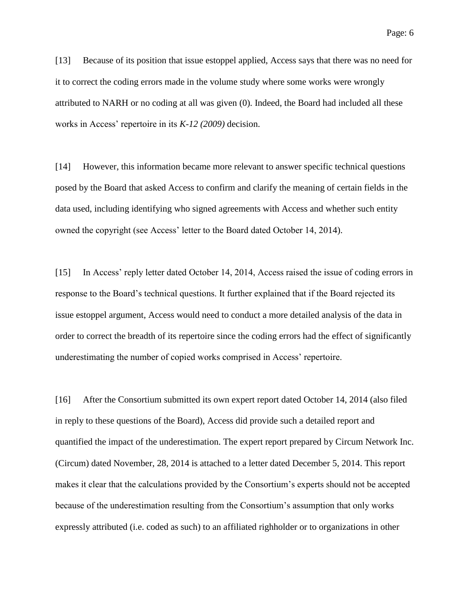[13] Because of its position that issue estoppel applied, Access says that there was no need for it to correct the coding errors made in the volume study where some works were wrongly attributed to NARH or no coding at all was given (0). Indeed, the Board had included all these works in Access' repertoire in its *K-12 (2009)* decision.

[14] However, this information became more relevant to answer specific technical questions posed by the Board that asked Access to confirm and clarify the meaning of certain fields in the data used, including identifying who signed agreements with Access and whether such entity owned the copyright (see Access' letter to the Board dated October 14, 2014).

[15] In Access' reply letter dated October 14, 2014, Access raised the issue of coding errors in response to the Board's technical questions. It further explained that if the Board rejected its issue estoppel argument, Access would need to conduct a more detailed analysis of the data in order to correct the breadth of its repertoire since the coding errors had the effect of significantly underestimating the number of copied works comprised in Access' repertoire.

[16] After the Consortium submitted its own expert report dated October 14, 2014 (also filed in reply to these questions of the Board), Access did provide such a detailed report and quantified the impact of the underestimation. The expert report prepared by Circum Network Inc. (Circum) dated November, 28, 2014 is attached to a letter dated December 5, 2014. This report makes it clear that the calculations provided by the Consortium's experts should not be accepted because of the underestimation resulting from the Consortium's assumption that only works expressly attributed (i.e. coded as such) to an affiliated righholder or to organizations in other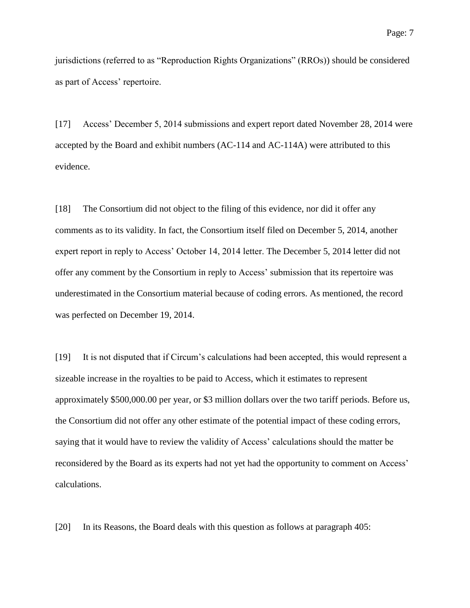jurisdictions (referred to as "Reproduction Rights Organizations" (RROs)) should be considered as part of Access' repertoire.

[17] Access' December 5, 2014 submissions and expert report dated November 28, 2014 were accepted by the Board and exhibit numbers (AC-114 and AC-114A) were attributed to this evidence.

[18] The Consortium did not object to the filing of this evidence, nor did it offer any comments as to its validity. In fact, the Consortium itself filed on December 5, 2014, another expert report in reply to Access' October 14, 2014 letter. The December 5, 2014 letter did not offer any comment by the Consortium in reply to Access' submission that its repertoire was underestimated in the Consortium material because of coding errors. As mentioned, the record was perfected on December 19, 2014.

[19] It is not disputed that if Circum's calculations had been accepted, this would represent a sizeable increase in the royalties to be paid to Access, which it estimates to represent approximately \$500,000.00 per year, or \$3 million dollars over the two tariff periods. Before us, the Consortium did not offer any other estimate of the potential impact of these coding errors, saying that it would have to review the validity of Access' calculations should the matter be reconsidered by the Board as its experts had not yet had the opportunity to comment on Access' calculations.

[20] In its Reasons, the Board deals with this question as follows at paragraph 405: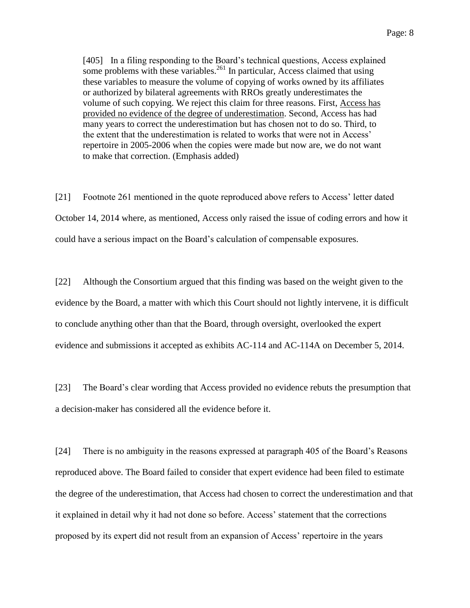[405] In a filing responding to the Board's technical questions, Access explained some problems with these variables.<sup>261</sup> In particular, Access claimed that using these variables to measure the volume of copying of works owned by its affiliates or authorized by bilateral agreements with RROs greatly underestimates the volume of such copying. We reject this claim for three reasons. First, Access has provided no evidence of the degree of underestimation. Second, Access has had many years to correct the underestimation but has chosen not to do so. Third, to the extent that the underestimation is related to works that were not in Access' repertoire in 2005-2006 when the copies were made but now are, we do not want to make that correction. (Emphasis added)

[21] Footnote 261 mentioned in the quote reproduced above refers to Access' letter dated October 14, 2014 where, as mentioned, Access only raised the issue of coding errors and how it could have a serious impact on the Board's calculation of compensable exposures.

[22] Although the Consortium argued that this finding was based on the weight given to the evidence by the Board, a matter with which this Court should not lightly intervene, it is difficult to conclude anything other than that the Board, through oversight, overlooked the expert evidence and submissions it accepted as exhibits AC-114 and AC-114A on December 5, 2014.

[23] The Board's clear wording that Access provided no evidence rebuts the presumption that a decision-maker has considered all the evidence before it.

[24] There is no ambiguity in the reasons expressed at paragraph 405 of the Board's Reasons reproduced above. The Board failed to consider that expert evidence had been filed to estimate the degree of the underestimation, that Access had chosen to correct the underestimation and that it explained in detail why it had not done so before. Access' statement that the corrections proposed by its expert did not result from an expansion of Access' repertoire in the years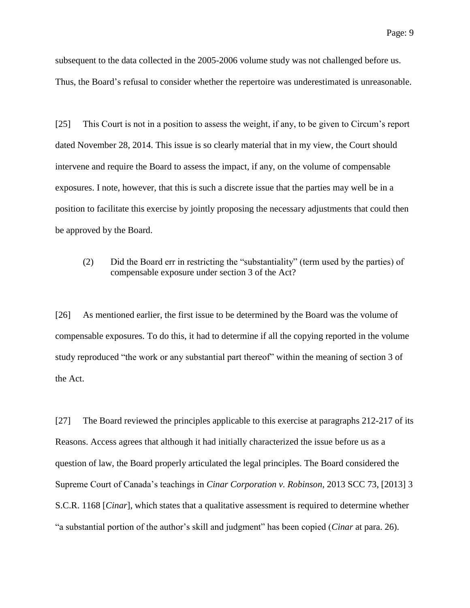subsequent to the data collected in the 2005-2006 volume study was not challenged before us. Thus, the Board's refusal to consider whether the repertoire was underestimated is unreasonable.

[25] This Court is not in a position to assess the weight, if any, to be given to Circum's report dated November 28, 2014. This issue is so clearly material that in my view, the Court should intervene and require the Board to assess the impact, if any, on the volume of compensable exposures. I note, however, that this is such a discrete issue that the parties may well be in a position to facilitate this exercise by jointly proposing the necessary adjustments that could then be approved by the Board.

(2) Did the Board err in restricting the "substantiality" (term used by the parties) of compensable exposure under section 3 of the Act?

[26] As mentioned earlier, the first issue to be determined by the Board was the volume of compensable exposures. To do this, it had to determine if all the copying reported in the volume study reproduced "the work or any substantial part thereof" within the meaning of section 3 of the Act.

[27] The Board reviewed the principles applicable to this exercise at paragraphs 212-217 of its Reasons. Access agrees that although it had initially characterized the issue before us as a question of law, the Board properly articulated the legal principles. The Board considered the Supreme Court of Canada's teachings in *Cinar Corporation v. Robinson*, 2013 SCC 73, [2013] 3 S.C.R. 1168 [*Cinar*], which states that a qualitative assessment is required to determine whether "a substantial portion of the author's skill and judgment" has been copied (*Cinar* at para. 26).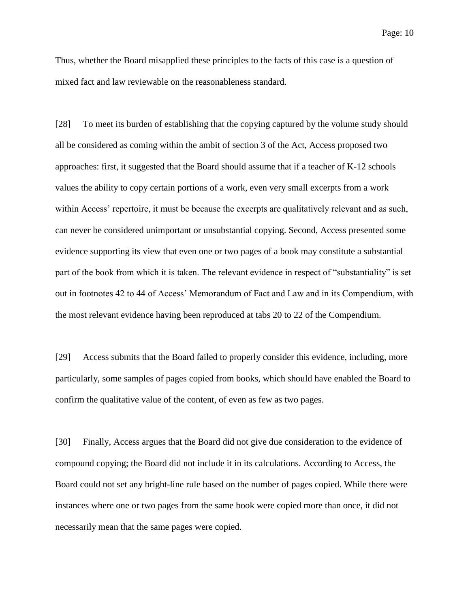Thus, whether the Board misapplied these principles to the facts of this case is a question of mixed fact and law reviewable on the reasonableness standard.

[28] To meet its burden of establishing that the copying captured by the volume study should all be considered as coming within the ambit of section 3 of the Act, Access proposed two approaches: first, it suggested that the Board should assume that if a teacher of K-12 schools values the ability to copy certain portions of a work, even very small excerpts from a work within Access' repertoire, it must be because the excerpts are qualitatively relevant and as such, can never be considered unimportant or unsubstantial copying. Second, Access presented some evidence supporting its view that even one or two pages of a book may constitute a substantial part of the book from which it is taken. The relevant evidence in respect of "substantiality" is set out in footnotes 42 to 44 of Access' Memorandum of Fact and Law and in its Compendium, with the most relevant evidence having been reproduced at tabs 20 to 22 of the Compendium.

[29] Access submits that the Board failed to properly consider this evidence, including, more particularly, some samples of pages copied from books, which should have enabled the Board to confirm the qualitative value of the content, of even as few as two pages.

[30] Finally, Access argues that the Board did not give due consideration to the evidence of compound copying; the Board did not include it in its calculations. According to Access, the Board could not set any bright-line rule based on the number of pages copied. While there were instances where one or two pages from the same book were copied more than once, it did not necessarily mean that the same pages were copied.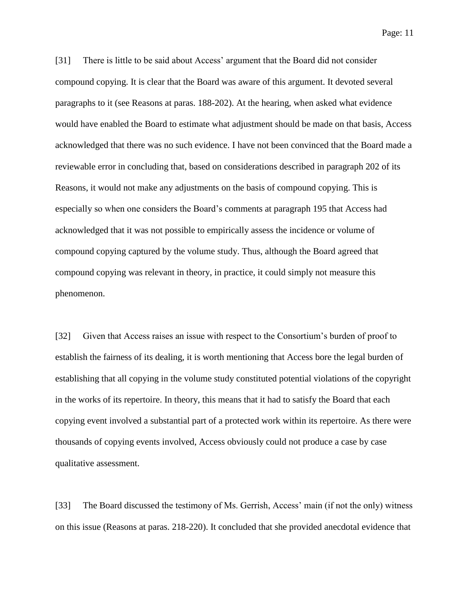[31] There is little to be said about Access' argument that the Board did not consider compound copying. It is clear that the Board was aware of this argument. It devoted several paragraphs to it (see Reasons at paras. 188-202). At the hearing, when asked what evidence would have enabled the Board to estimate what adjustment should be made on that basis, Access acknowledged that there was no such evidence. I have not been convinced that the Board made a reviewable error in concluding that, based on considerations described in paragraph 202 of its Reasons, it would not make any adjustments on the basis of compound copying. This is especially so when one considers the Board's comments at paragraph 195 that Access had acknowledged that it was not possible to empirically assess the incidence or volume of compound copying captured by the volume study. Thus, although the Board agreed that compound copying was relevant in theory, in practice, it could simply not measure this phenomenon.

[32] Given that Access raises an issue with respect to the Consortium's burden of proof to establish the fairness of its dealing, it is worth mentioning that Access bore the legal burden of establishing that all copying in the volume study constituted potential violations of the copyright in the works of its repertoire. In theory, this means that it had to satisfy the Board that each copying event involved a substantial part of a protected work within its repertoire. As there were thousands of copying events involved, Access obviously could not produce a case by case qualitative assessment.

[33] The Board discussed the testimony of Ms. Gerrish, Access' main (if not the only) witness on this issue (Reasons at paras. 218-220). It concluded that she provided anecdotal evidence that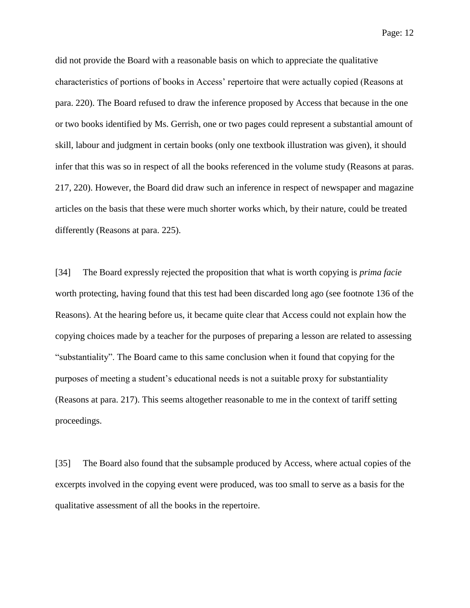did not provide the Board with a reasonable basis on which to appreciate the qualitative characteristics of portions of books in Access' repertoire that were actually copied (Reasons at para. 220). The Board refused to draw the inference proposed by Access that because in the one or two books identified by Ms. Gerrish, one or two pages could represent a substantial amount of skill, labour and judgment in certain books (only one textbook illustration was given), it should infer that this was so in respect of all the books referenced in the volume study (Reasons at paras. 217, 220). However, the Board did draw such an inference in respect of newspaper and magazine articles on the basis that these were much shorter works which, by their nature, could be treated differently (Reasons at para. 225).

[34] The Board expressly rejected the proposition that what is worth copying is *prima facie*  worth protecting, having found that this test had been discarded long ago (see footnote 136 of the Reasons). At the hearing before us, it became quite clear that Access could not explain how the copying choices made by a teacher for the purposes of preparing a lesson are related to assessing "substantiality". The Board came to this same conclusion when it found that copying for the purposes of meeting a student's educational needs is not a suitable proxy for substantiality (Reasons at para. 217). This seems altogether reasonable to me in the context of tariff setting proceedings.

[35] The Board also found that the subsample produced by Access, where actual copies of the excerpts involved in the copying event were produced, was too small to serve as a basis for the qualitative assessment of all the books in the repertoire.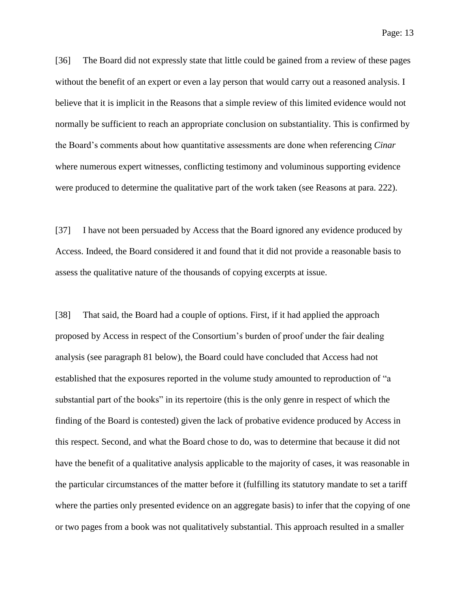[36] The Board did not expressly state that little could be gained from a review of these pages without the benefit of an expert or even a lay person that would carry out a reasoned analysis. I believe that it is implicit in the Reasons that a simple review of this limited evidence would not normally be sufficient to reach an appropriate conclusion on substantiality. This is confirmed by the Board's comments about how quantitative assessments are done when referencing *Cinar*  where numerous expert witnesses, conflicting testimony and voluminous supporting evidence were produced to determine the qualitative part of the work taken (see Reasons at para. 222).

[37] I have not been persuaded by Access that the Board ignored any evidence produced by Access. Indeed, the Board considered it and found that it did not provide a reasonable basis to assess the qualitative nature of the thousands of copying excerpts at issue.

[38] That said, the Board had a couple of options. First, if it had applied the approach proposed by Access in respect of the Consortium's burden of proof under the fair dealing analysis (see paragraph 81 below), the Board could have concluded that Access had not established that the exposures reported in the volume study amounted to reproduction of "a substantial part of the books" in its repertoire (this is the only genre in respect of which the finding of the Board is contested) given the lack of probative evidence produced by Access in this respect. Second, and what the Board chose to do, was to determine that because it did not have the benefit of a qualitative analysis applicable to the majority of cases, it was reasonable in the particular circumstances of the matter before it (fulfilling its statutory mandate to set a tariff where the parties only presented evidence on an aggregate basis) to infer that the copying of one or two pages from a book was not qualitatively substantial. This approach resulted in a smaller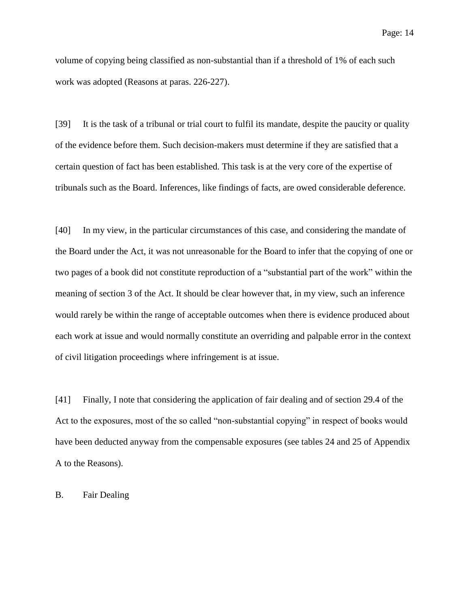volume of copying being classified as non-substantial than if a threshold of 1% of each such work was adopted (Reasons at paras. 226-227).

[39] It is the task of a tribunal or trial court to fulfil its mandate, despite the paucity or quality of the evidence before them. Such decision-makers must determine if they are satisfied that a certain question of fact has been established. This task is at the very core of the expertise of tribunals such as the Board. Inferences, like findings of facts, are owed considerable deference.

[40] In my view, in the particular circumstances of this case, and considering the mandate of the Board under the Act, it was not unreasonable for the Board to infer that the copying of one or two pages of a book did not constitute reproduction of a "substantial part of the work" within the meaning of section 3 of the Act. It should be clear however that, in my view, such an inference would rarely be within the range of acceptable outcomes when there is evidence produced about each work at issue and would normally constitute an overriding and palpable error in the context of civil litigation proceedings where infringement is at issue.

[41] Finally, I note that considering the application of fair dealing and of section 29.4 of the Act to the exposures, most of the so called "non-substantial copying" in respect of books would have been deducted anyway from the compensable exposures (see tables 24 and 25 of Appendix A to the Reasons).

B. Fair Dealing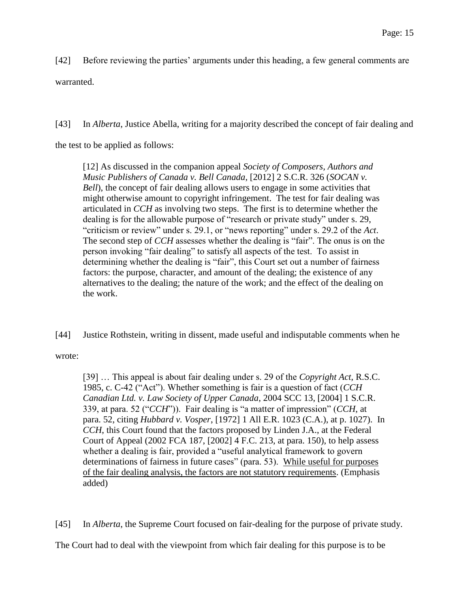[42] Before reviewing the parties' arguments under this heading, a few general comments are warranted.

[43] In *Alberta*, Justice Abella, writing for a majority described the concept of fair dealing and

the test to be applied as follows:

[12] As discussed in the companion appeal *Society of Composers, Authors and Music Publishers of Canada v. Bell Canada*, [2012] 2 S.C.R. 326 (*SOCAN v. Bell*), the concept of fair dealing allows users to engage in some activities that might otherwise amount to copyright infringement. The test for fair dealing was articulated in *CCH* as involving two steps. The first is to determine whether the dealing is for the allowable purpose of "research or private study" under s. 29, "criticism or review" under s. 29.1, or "news reporting" under s. 29.2 of the *Act*. The second step of *CCH* assesses whether the dealing is "fair". The onus is on the person invoking "fair dealing" to satisfy all aspects of the test. To assist in determining whether the dealing is "fair", this Court set out a number of fairness factors: the purpose, character, and amount of the dealing; the existence of any alternatives to the dealing; the nature of the work; and the effect of the dealing on the work.

[44] Justice Rothstein, writing in dissent, made useful and indisputable comments when he

wrote:

[39] … This appeal is about fair dealing under s. 29 of the *Copyright Act*, R.S.C. 1985, c. C-42 ("Act"). Whether something is fair is a question of fact (*CCH Canadian Ltd. v. Law Society of Upper Canada*, 2004 SCC 13, [2004] 1 S.C.R. 339, at para. 52 ("*CCH*")). Fair dealing is "a matter of impression" (*CCH*, at para. 52, citing *Hubbard v. Vosper*, [1972] 1 All E.R. 1023 (C.A.), at p. 1027). In *CCH*, this Court found that the factors proposed by Linden J.A., at the Federal Court of Appeal (2002 FCA 187, [2002] 4 F.C. 213, at para. 150), to help assess whether a dealing is fair, provided a "useful analytical framework to govern determinations of fairness in future cases" (para. 53). While useful for purposes of the fair dealing analysis, the factors are not statutory requirements. (Emphasis added)

[45] In *Alberta*, the Supreme Court focused on fair-dealing for the purpose of private study.

The Court had to deal with the viewpoint from which fair dealing for this purpose is to be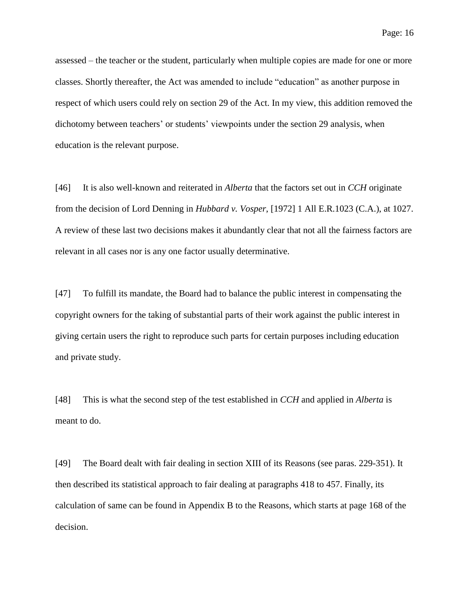assessed – the teacher or the student, particularly when multiple copies are made for one or more classes. Shortly thereafter, the Act was amended to include "education" as another purpose in respect of which users could rely on section 29 of the Act. In my view, this addition removed the dichotomy between teachers' or students' viewpoints under the section 29 analysis, when education is the relevant purpose.

[46] It is also well-known and reiterated in *Alberta* that the factors set out in *CCH* originate from the decision of Lord Denning in *Hubbard v. Vosper*, [1972] 1 All E.R.1023 (C.A.), at 1027. A review of these last two decisions makes it abundantly clear that not all the fairness factors are relevant in all cases nor is any one factor usually determinative.

[47] To fulfill its mandate, the Board had to balance the public interest in compensating the copyright owners for the taking of substantial parts of their work against the public interest in giving certain users the right to reproduce such parts for certain purposes including education and private study.

[48] This is what the second step of the test established in *CCH* and applied in *Alberta* is meant to do.

[49] The Board dealt with fair dealing in section XIII of its Reasons (see paras. 229-351). It then described its statistical approach to fair dealing at paragraphs 418 to 457. Finally, its calculation of same can be found in Appendix B to the Reasons, which starts at page 168 of the decision.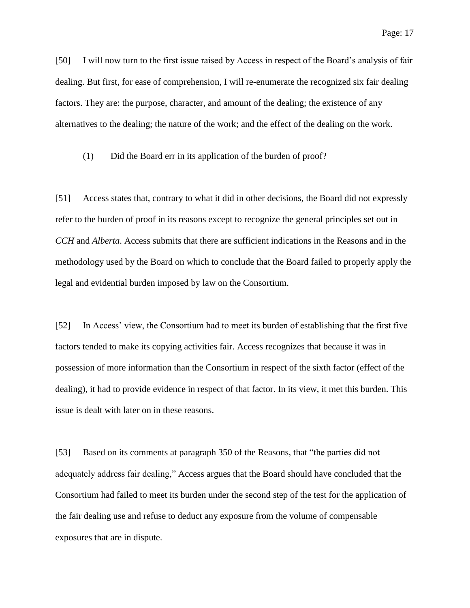[50] I will now turn to the first issue raised by Access in respect of the Board's analysis of fair dealing. But first, for ease of comprehension, I will re-enumerate the recognized six fair dealing factors. They are: the purpose, character, and amount of the dealing; the existence of any alternatives to the dealing; the nature of the work; and the effect of the dealing on the work.

(1) Did the Board err in its application of the burden of proof?

[51] Access states that, contrary to what it did in other decisions, the Board did not expressly refer to the burden of proof in its reasons except to recognize the general principles set out in *CCH* and *Alberta*. Access submits that there are sufficient indications in the Reasons and in the methodology used by the Board on which to conclude that the Board failed to properly apply the legal and evidential burden imposed by law on the Consortium.

[52] In Access' view, the Consortium had to meet its burden of establishing that the first five factors tended to make its copying activities fair. Access recognizes that because it was in possession of more information than the Consortium in respect of the sixth factor (effect of the dealing), it had to provide evidence in respect of that factor. In its view, it met this burden. This issue is dealt with later on in these reasons.

[53] Based on its comments at paragraph 350 of the Reasons, that "the parties did not adequately address fair dealing," Access argues that the Board should have concluded that the Consortium had failed to meet its burden under the second step of the test for the application of the fair dealing use and refuse to deduct any exposure from the volume of compensable exposures that are in dispute.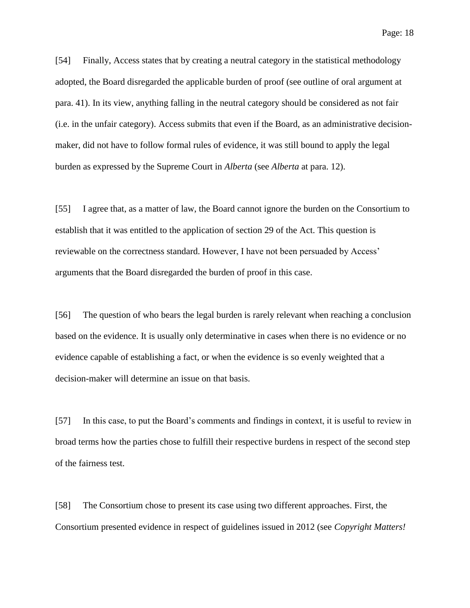[54] Finally, Access states that by creating a neutral category in the statistical methodology adopted, the Board disregarded the applicable burden of proof (see outline of oral argument at

para. 41). In its view, anything falling in the neutral category should be considered as not fair (i.e. in the unfair category). Access submits that even if the Board, as an administrative decisionmaker, did not have to follow formal rules of evidence, it was still bound to apply the legal burden as expressed by the Supreme Court in *Alberta* (see *Alberta* at para. 12).

[55] I agree that, as a matter of law, the Board cannot ignore the burden on the Consortium to establish that it was entitled to the application of section 29 of the Act. This question is reviewable on the correctness standard. However, I have not been persuaded by Access' arguments that the Board disregarded the burden of proof in this case.

[56] The question of who bears the legal burden is rarely relevant when reaching a conclusion based on the evidence. It is usually only determinative in cases when there is no evidence or no evidence capable of establishing a fact, or when the evidence is so evenly weighted that a decision-maker will determine an issue on that basis.

[57] In this case, to put the Board's comments and findings in context, it is useful to review in broad terms how the parties chose to fulfill their respective burdens in respect of the second step of the fairness test.

[58] The Consortium chose to present its case using two different approaches. First, the Consortium presented evidence in respect of guidelines issued in 2012 (see *Copyright Matters!*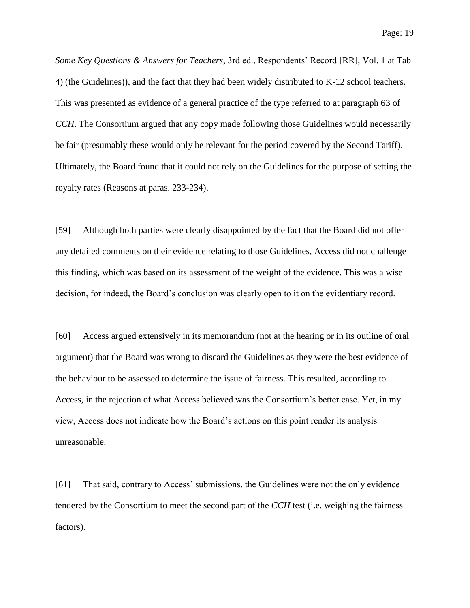*Some Key Questions & Answers for Teachers*, 3rd ed., Respondents' Record [RR], Vol. 1 at Tab 4) (the Guidelines)), and the fact that they had been widely distributed to K-12 school teachers. This was presented as evidence of a general practice of the type referred to at paragraph 63 of *CCH*. The Consortium argued that any copy made following those Guidelines would necessarily be fair (presumably these would only be relevant for the period covered by the Second Tariff). Ultimately, the Board found that it could not rely on the Guidelines for the purpose of setting the royalty rates (Reasons at paras. 233-234).

[59] Although both parties were clearly disappointed by the fact that the Board did not offer any detailed comments on their evidence relating to those Guidelines, Access did not challenge this finding, which was based on its assessment of the weight of the evidence. This was a wise decision, for indeed, the Board's conclusion was clearly open to it on the evidentiary record.

[60] Access argued extensively in its memorandum (not at the hearing or in its outline of oral argument) that the Board was wrong to discard the Guidelines as they were the best evidence of the behaviour to be assessed to determine the issue of fairness. This resulted, according to Access, in the rejection of what Access believed was the Consortium's better case. Yet, in my view, Access does not indicate how the Board's actions on this point render its analysis unreasonable.

[61] That said, contrary to Access' submissions, the Guidelines were not the only evidence tendered by the Consortium to meet the second part of the *CCH* test (i.e. weighing the fairness factors).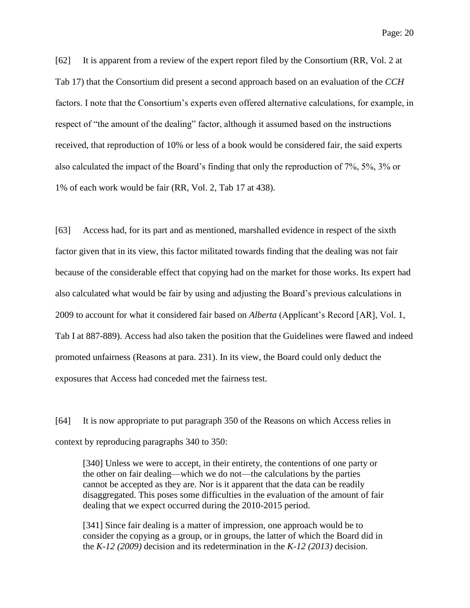[62] It is apparent from a review of the expert report filed by the Consortium (RR, Vol. 2 at Tab 17) that the Consortium did present a second approach based on an evaluation of the *CCH*  factors. I note that the Consortium's experts even offered alternative calculations, for example, in respect of "the amount of the dealing" factor, although it assumed based on the instructions received, that reproduction of 10% or less of a book would be considered fair, the said experts also calculated the impact of the Board's finding that only the reproduction of 7%, 5%, 3% or 1% of each work would be fair (RR, Vol. 2, Tab 17 at 438).

[63] Access had, for its part and as mentioned, marshalled evidence in respect of the sixth factor given that in its view, this factor militated towards finding that the dealing was not fair because of the considerable effect that copying had on the market for those works. Its expert had also calculated what would be fair by using and adjusting the Board's previous calculations in 2009 to account for what it considered fair based on *Alberta* (Applicant's Record [AR], Vol. 1, Tab I at 887-889). Access had also taken the position that the Guidelines were flawed and indeed promoted unfairness (Reasons at para. 231). In its view, the Board could only deduct the exposures that Access had conceded met the fairness test.

[64] It is now appropriate to put paragraph 350 of the Reasons on which Access relies in context by reproducing paragraphs 340 to 350:

[340] Unless we were to accept, in their entirety, the contentions of one party or the other on fair dealing—which we do not—the calculations by the parties cannot be accepted as they are. Nor is it apparent that the data can be readily disaggregated. This poses some difficulties in the evaluation of the amount of fair dealing that we expect occurred during the 2010-2015 period.

[341] Since fair dealing is a matter of impression, one approach would be to consider the copying as a group, or in groups, the latter of which the Board did in the *K-12 (2009)* decision and its redetermination in the *K-12 (2013)* decision.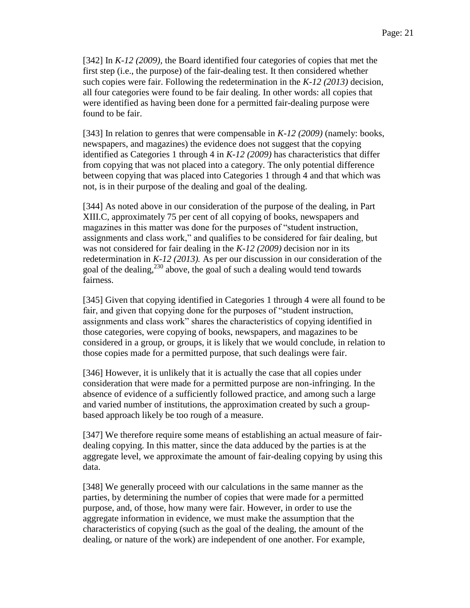[342] In *K-12 (2009),* the Board identified four categories of copies that met the first step (i.e., the purpose) of the fair-dealing test. It then considered whether such copies were fair. Following the redetermination in the *K-12 (2013)* decision, all four categories were found to be fair dealing. In other words: all copies that were identified as having been done for a permitted fair-dealing purpose were found to be fair.

[343] In relation to genres that were compensable in *K-12 (2009)* (namely: books, newspapers, and magazines) the evidence does not suggest that the copying identified as Categories 1 through 4 in *K-12 (2009)* has characteristics that differ from copying that was not placed into a category. The only potential difference between copying that was placed into Categories 1 through 4 and that which was not, is in their purpose of the dealing and goal of the dealing.

[344] As noted above in our consideration of the purpose of the dealing, in Part XIII.C, approximately 75 per cent of all copying of books, newspapers and magazines in this matter was done for the purposes of "student instruction, assignments and class work," and qualifies to be considered for fair dealing, but was not considered for fair dealing in the *K-12 (2009)* decision nor in its redetermination in *K-12 (2013).* As per our discussion in our consideration of the goal of the dealing, $^{230}$  above, the goal of such a dealing would tend towards fairness.

[345] Given that copying identified in Categories 1 through 4 were all found to be fair, and given that copying done for the purposes of "student instruction, assignments and class work" shares the characteristics of copying identified in those categories, were copying of books, newspapers, and magazines to be considered in a group, or groups, it is likely that we would conclude, in relation to those copies made for a permitted purpose, that such dealings were fair.

[346] However, it is unlikely that it is actually the case that all copies under consideration that were made for a permitted purpose are non-infringing. In the absence of evidence of a sufficiently followed practice, and among such a large and varied number of institutions, the approximation created by such a groupbased approach likely be too rough of a measure.

[347] We therefore require some means of establishing an actual measure of fairdealing copying. In this matter, since the data adduced by the parties is at the aggregate level, we approximate the amount of fair-dealing copying by using this data.

[348] We generally proceed with our calculations in the same manner as the parties, by determining the number of copies that were made for a permitted purpose, and, of those, how many were fair. However, in order to use the aggregate information in evidence, we must make the assumption that the characteristics of copying (such as the goal of the dealing, the amount of the dealing, or nature of the work) are independent of one another. For example,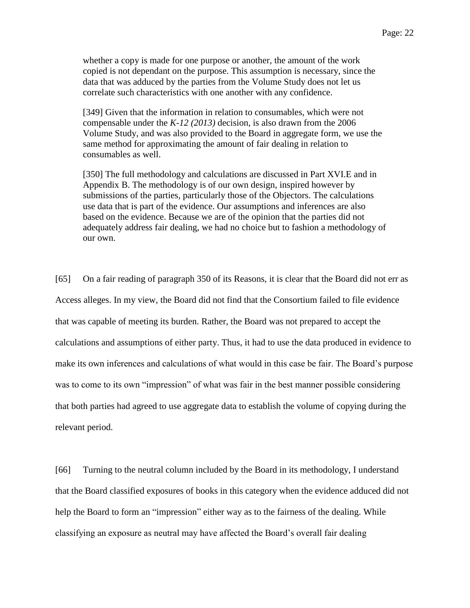whether a copy is made for one purpose or another, the amount of the work copied is not dependant on the purpose. This assumption is necessary, since the data that was adduced by the parties from the Volume Study does not let us correlate such characteristics with one another with any confidence.

[349] Given that the information in relation to consumables, which were not compensable under the *K-12 (2013)* decision, is also drawn from the 2006 Volume Study, and was also provided to the Board in aggregate form, we use the same method for approximating the amount of fair dealing in relation to consumables as well.

[350] The full methodology and calculations are discussed in Part XVI.E and in Appendix B. The methodology is of our own design, inspired however by submissions of the parties, particularly those of the Objectors. The calculations use data that is part of the evidence. Our assumptions and inferences are also based on the evidence. Because we are of the opinion that the parties did not adequately address fair dealing, we had no choice but to fashion a methodology of our own.

[65] On a fair reading of paragraph 350 of its Reasons, it is clear that the Board did not err as Access alleges. In my view, the Board did not find that the Consortium failed to file evidence that was capable of meeting its burden. Rather, the Board was not prepared to accept the calculations and assumptions of either party. Thus, it had to use the data produced in evidence to make its own inferences and calculations of what would in this case be fair. The Board's purpose was to come to its own "impression" of what was fair in the best manner possible considering that both parties had agreed to use aggregate data to establish the volume of copying during the relevant period.

[66] Turning to the neutral column included by the Board in its methodology, I understand that the Board classified exposures of books in this category when the evidence adduced did not help the Board to form an "impression" either way as to the fairness of the dealing. While classifying an exposure as neutral may have affected the Board's overall fair dealing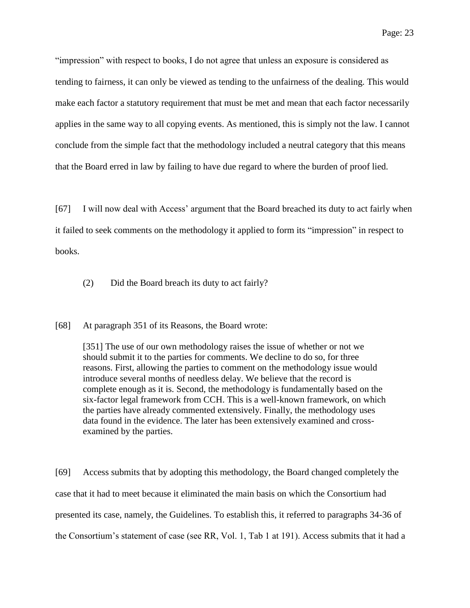"impression" with respect to books, I do not agree that unless an exposure is considered as tending to fairness, it can only be viewed as tending to the unfairness of the dealing. This would make each factor a statutory requirement that must be met and mean that each factor necessarily applies in the same way to all copying events. As mentioned, this is simply not the law. I cannot conclude from the simple fact that the methodology included a neutral category that this means that the Board erred in law by failing to have due regard to where the burden of proof lied.

[67] I will now deal with Access' argument that the Board breached its duty to act fairly when it failed to seek comments on the methodology it applied to form its "impression" in respect to books.

(2) Did the Board breach its duty to act fairly?

[68] At paragraph 351 of its Reasons, the Board wrote:

[351] The use of our own methodology raises the issue of whether or not we should submit it to the parties for comments. We decline to do so, for three reasons. First, allowing the parties to comment on the methodology issue would introduce several months of needless delay. We believe that the record is complete enough as it is. Second, the methodology is fundamentally based on the six-factor legal framework from CCH. This is a well-known framework, on which the parties have already commented extensively. Finally, the methodology uses data found in the evidence. The later has been extensively examined and crossexamined by the parties.

[69] Access submits that by adopting this methodology, the Board changed completely the case that it had to meet because it eliminated the main basis on which the Consortium had presented its case, namely, the Guidelines. To establish this, it referred to paragraphs 34-36 of the Consortium's statement of case (see RR, Vol. 1, Tab 1 at 191). Access submits that it had a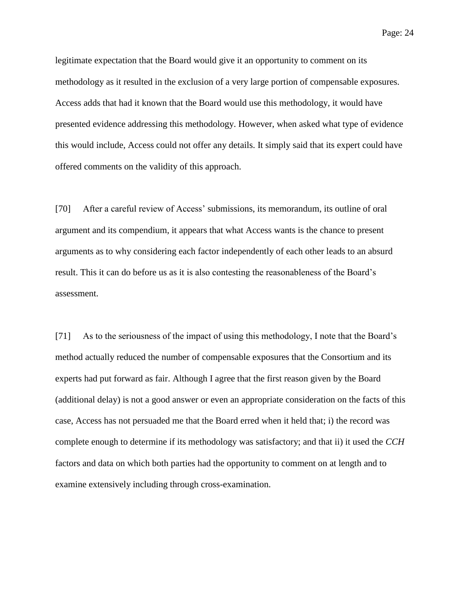legitimate expectation that the Board would give it an opportunity to comment on its methodology as it resulted in the exclusion of a very large portion of compensable exposures. Access adds that had it known that the Board would use this methodology, it would have presented evidence addressing this methodology. However, when asked what type of evidence this would include, Access could not offer any details. It simply said that its expert could have offered comments on the validity of this approach.

[70] After a careful review of Access' submissions, its memorandum, its outline of oral argument and its compendium, it appears that what Access wants is the chance to present arguments as to why considering each factor independently of each other leads to an absurd result. This it can do before us as it is also contesting the reasonableness of the Board's assessment.

[71] As to the seriousness of the impact of using this methodology, I note that the Board's method actually reduced the number of compensable exposures that the Consortium and its experts had put forward as fair. Although I agree that the first reason given by the Board (additional delay) is not a good answer or even an appropriate consideration on the facts of this case, Access has not persuaded me that the Board erred when it held that; i) the record was complete enough to determine if its methodology was satisfactory; and that ii) it used the *CCH*  factors and data on which both parties had the opportunity to comment on at length and to examine extensively including through cross-examination.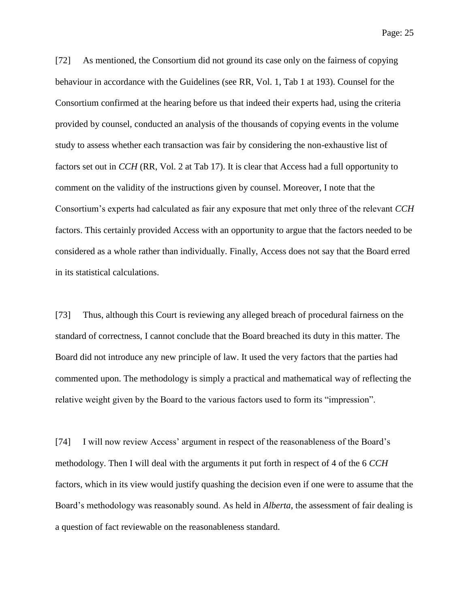[72] As mentioned, the Consortium did not ground its case only on the fairness of copying behaviour in accordance with the Guidelines (see RR, Vol. 1, Tab 1 at 193). Counsel for the Consortium confirmed at the hearing before us that indeed their experts had, using the criteria provided by counsel, conducted an analysis of the thousands of copying events in the volume study to assess whether each transaction was fair by considering the non-exhaustive list of factors set out in *CCH* (RR, Vol. 2 at Tab 17). It is clear that Access had a full opportunity to comment on the validity of the instructions given by counsel. Moreover, I note that the Consortium's experts had calculated as fair any exposure that met only three of the relevant *CCH*  factors. This certainly provided Access with an opportunity to argue that the factors needed to be considered as a whole rather than individually. Finally, Access does not say that the Board erred in its statistical calculations.

[73] Thus, although this Court is reviewing any alleged breach of procedural fairness on the standard of correctness, I cannot conclude that the Board breached its duty in this matter. The Board did not introduce any new principle of law. It used the very factors that the parties had commented upon. The methodology is simply a practical and mathematical way of reflecting the relative weight given by the Board to the various factors used to form its "impression".

[74] I will now review Access' argument in respect of the reasonableness of the Board's methodology. Then I will deal with the arguments it put forth in respect of 4 of the 6 *CCH* factors, which in its view would justify quashing the decision even if one were to assume that the Board's methodology was reasonably sound. As held in *Alberta*, the assessment of fair dealing is a question of fact reviewable on the reasonableness standard.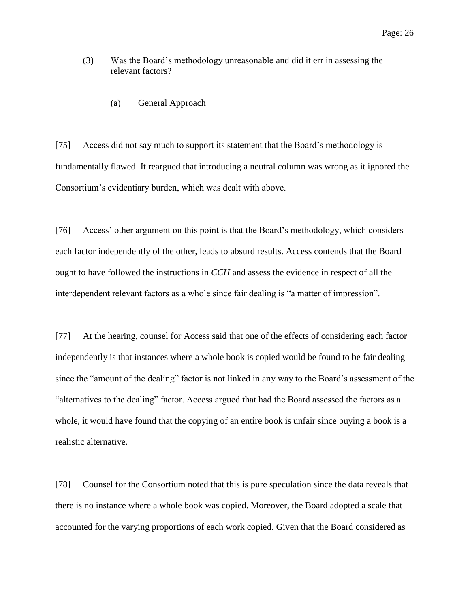- (3) Was the Board's methodology unreasonable and did it err in assessing the relevant factors?
	- (a) General Approach

[75] Access did not say much to support its statement that the Board's methodology is fundamentally flawed. It reargued that introducing a neutral column was wrong as it ignored the Consortium's evidentiary burden, which was dealt with above.

[76] Access' other argument on this point is that the Board's methodology, which considers each factor independently of the other, leads to absurd results. Access contends that the Board ought to have followed the instructions in *CCH* and assess the evidence in respect of all the interdependent relevant factors as a whole since fair dealing is "a matter of impression".

[77] At the hearing, counsel for Access said that one of the effects of considering each factor independently is that instances where a whole book is copied would be found to be fair dealing since the "amount of the dealing" factor is not linked in any way to the Board's assessment of the "alternatives to the dealing" factor. Access argued that had the Board assessed the factors as a whole, it would have found that the copying of an entire book is unfair since buying a book is a realistic alternative.

[78] Counsel for the Consortium noted that this is pure speculation since the data reveals that there is no instance where a whole book was copied. Moreover, the Board adopted a scale that accounted for the varying proportions of each work copied. Given that the Board considered as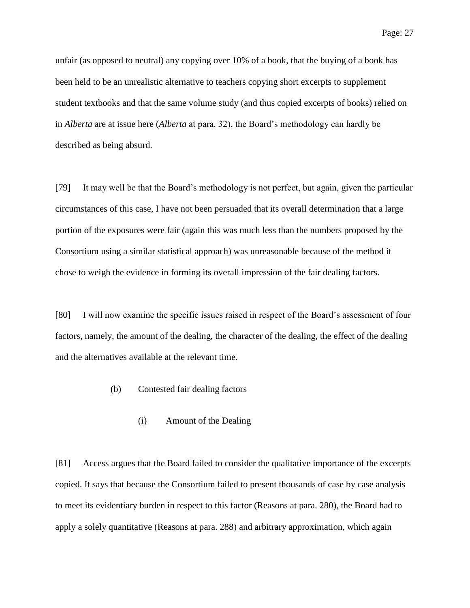unfair (as opposed to neutral) any copying over 10% of a book, that the buying of a book has been held to be an unrealistic alternative to teachers copying short excerpts to supplement student textbooks and that the same volume study (and thus copied excerpts of books) relied on in *Alberta* are at issue here (*Alberta* at para. 32), the Board's methodology can hardly be described as being absurd.

[79] It may well be that the Board's methodology is not perfect, but again, given the particular circumstances of this case, I have not been persuaded that its overall determination that a large portion of the exposures were fair (again this was much less than the numbers proposed by the Consortium using a similar statistical approach) was unreasonable because of the method it chose to weigh the evidence in forming its overall impression of the fair dealing factors.

[80] I will now examine the specific issues raised in respect of the Board's assessment of four factors, namely, the amount of the dealing, the character of the dealing, the effect of the dealing and the alternatives available at the relevant time.

#### (b) Contested fair dealing factors

#### (i) Amount of the Dealing

[81] Access argues that the Board failed to consider the qualitative importance of the excerpts copied. It says that because the Consortium failed to present thousands of case by case analysis to meet its evidentiary burden in respect to this factor (Reasons at para. 280), the Board had to apply a solely quantitative (Reasons at para. 288) and arbitrary approximation, which again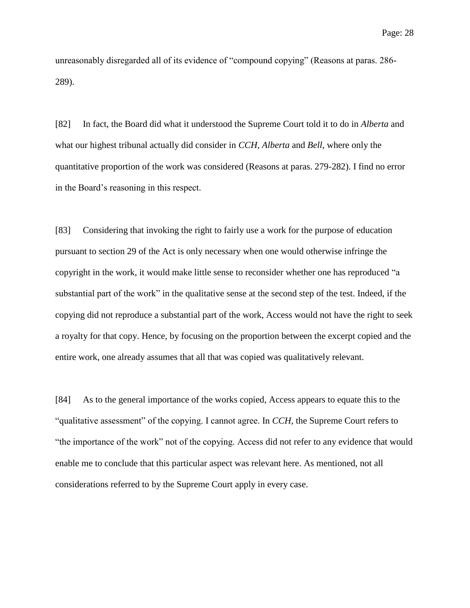unreasonably disregarded all of its evidence of "compound copying" (Reasons at paras. 286- 289).

[82] In fact, the Board did what it understood the Supreme Court told it to do in *Alberta* and what our highest tribunal actually did consider in *CCH*, *Alberta* and *Bell*, where only the quantitative proportion of the work was considered (Reasons at paras. 279-282). I find no error in the Board's reasoning in this respect.

[83] Considering that invoking the right to fairly use a work for the purpose of education pursuant to section 29 of the Act is only necessary when one would otherwise infringe the copyright in the work, it would make little sense to reconsider whether one has reproduced "a substantial part of the work" in the qualitative sense at the second step of the test. Indeed, if the copying did not reproduce a substantial part of the work, Access would not have the right to seek a royalty for that copy. Hence, by focusing on the proportion between the excerpt copied and the entire work, one already assumes that all that was copied was qualitatively relevant.

[84] As to the general importance of the works copied, Access appears to equate this to the "qualitative assessment" of the copying. I cannot agree. In *CCH*, the Supreme Court refers to "the importance of the work" not of the copying. Access did not refer to any evidence that would enable me to conclude that this particular aspect was relevant here. As mentioned, not all considerations referred to by the Supreme Court apply in every case.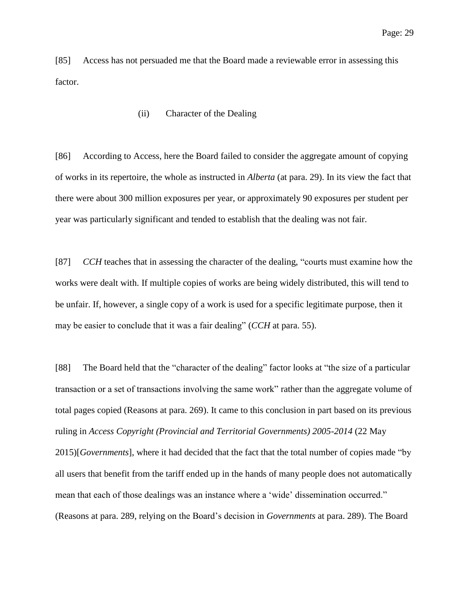[85] Access has not persuaded me that the Board made a reviewable error in assessing this factor.

(ii) Character of the Dealing

[86] According to Access, here the Board failed to consider the aggregate amount of copying of works in its repertoire, the whole as instructed in *Alberta* (at para. 29). In its view the fact that there were about 300 million exposures per year, or approximately 90 exposures per student per year was particularly significant and tended to establish that the dealing was not fair.

[87] *CCH* teaches that in assessing the character of the dealing, "courts must examine how the works were dealt with. If multiple copies of works are being widely distributed, this will tend to be unfair. If, however, a single copy of a work is used for a specific legitimate purpose, then it may be easier to conclude that it was a fair dealing" (*CCH* at para. 55).

[88] The Board held that the "character of the dealing" factor looks at "the size of a particular transaction or a set of transactions involving the same work" rather than the aggregate volume of total pages copied (Reasons at para. 269). It came to this conclusion in part based on its previous ruling in *Access Copyright (Provincial and Territorial Governments) 2005-2014* (22 May 2015)[*Governments*], where it had decided that the fact that the total number of copies made "by all users that benefit from the tariff ended up in the hands of many people does not automatically mean that each of those dealings was an instance where a 'wide' dissemination occurred." (Reasons at para. 289, relying on the Board's decision in *Governments* at para. 289). The Board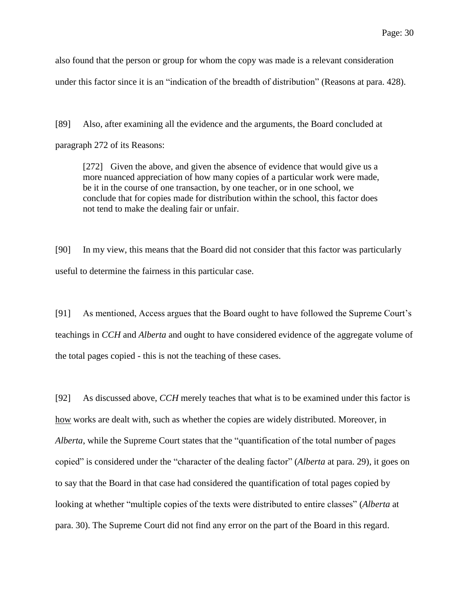also found that the person or group for whom the copy was made is a relevant consideration under this factor since it is an "indication of the breadth of distribution" (Reasons at para. 428).

[89] Also, after examining all the evidence and the arguments, the Board concluded at paragraph 272 of its Reasons:

[272] Given the above, and given the absence of evidence that would give us a more nuanced appreciation of how many copies of a particular work were made, be it in the course of one transaction, by one teacher, or in one school, we conclude that for copies made for distribution within the school, this factor does not tend to make the dealing fair or unfair.

[90] In my view, this means that the Board did not consider that this factor was particularly useful to determine the fairness in this particular case.

[91] As mentioned, Access argues that the Board ought to have followed the Supreme Court's teachings in *CCH* and *Alberta* and ought to have considered evidence of the aggregate volume of the total pages copied - this is not the teaching of these cases.

[92] As discussed above, *CCH* merely teaches that what is to be examined under this factor is how works are dealt with, such as whether the copies are widely distributed. Moreover, in *Alberta*, while the Supreme Court states that the "quantification of the total number of pages copied" is considered under the "character of the dealing factor" (*Alberta* at para. 29), it goes on to say that the Board in that case had considered the quantification of total pages copied by looking at whether "multiple copies of the texts were distributed to entire classes" (*Alberta* at para. 30). The Supreme Court did not find any error on the part of the Board in this regard.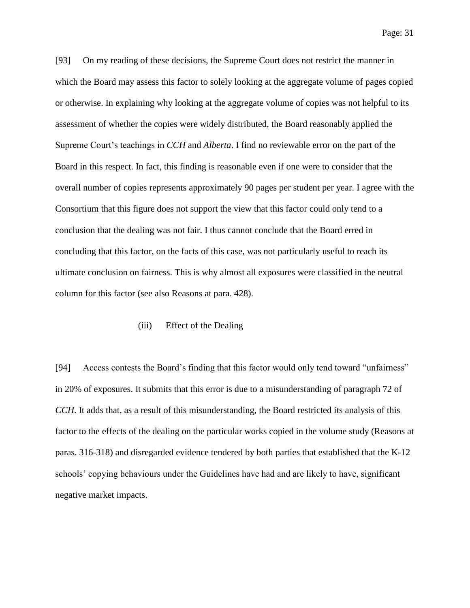[93] On my reading of these decisions, the Supreme Court does not restrict the manner in which the Board may assess this factor to solely looking at the aggregate volume of pages copied or otherwise. In explaining why looking at the aggregate volume of copies was not helpful to its assessment of whether the copies were widely distributed, the Board reasonably applied the Supreme Court's teachings in *CCH* and *Alberta*. I find no reviewable error on the part of the Board in this respect. In fact, this finding is reasonable even if one were to consider that the overall number of copies represents approximately 90 pages per student per year. I agree with the Consortium that this figure does not support the view that this factor could only tend to a conclusion that the dealing was not fair. I thus cannot conclude that the Board erred in concluding that this factor, on the facts of this case, was not particularly useful to reach its ultimate conclusion on fairness. This is why almost all exposures were classified in the neutral column for this factor (see also Reasons at para. 428).

#### (iii) Effect of the Dealing

[94] Access contests the Board's finding that this factor would only tend toward "unfairness" in 20% of exposures. It submits that this error is due to a misunderstanding of paragraph 72 of *CCH*. It adds that, as a result of this misunderstanding, the Board restricted its analysis of this factor to the effects of the dealing on the particular works copied in the volume study (Reasons at paras. 316-318) and disregarded evidence tendered by both parties that established that the K-12 schools' copying behaviours under the Guidelines have had and are likely to have, significant negative market impacts.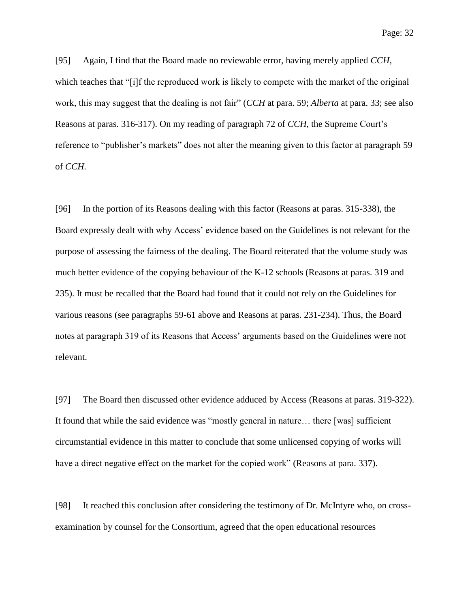[95] Again, I find that the Board made no reviewable error, having merely applied *CCH*, which teaches that "[i]f the reproduced work is likely to compete with the market of the original work, this may suggest that the dealing is not fair" (*CCH* at para. 59; *Alberta* at para. 33; see also Reasons at paras. 316-317). On my reading of paragraph 72 of *CCH*, the Supreme Court's reference to "publisher's markets" does not alter the meaning given to this factor at paragraph 59 of *CCH.*

[96] In the portion of its Reasons dealing with this factor (Reasons at paras. 315-338), the Board expressly dealt with why Access' evidence based on the Guidelines is not relevant for the purpose of assessing the fairness of the dealing. The Board reiterated that the volume study was much better evidence of the copying behaviour of the K-12 schools (Reasons at paras. 319 and 235). It must be recalled that the Board had found that it could not rely on the Guidelines for various reasons (see paragraphs 59-61 above and Reasons at paras. 231-234). Thus, the Board notes at paragraph 319 of its Reasons that Access' arguments based on the Guidelines were not relevant.

[97] The Board then discussed other evidence adduced by Access (Reasons at paras. 319-322). It found that while the said evidence was "mostly general in nature… there [was] sufficient circumstantial evidence in this matter to conclude that some unlicensed copying of works will have a direct negative effect on the market for the copied work" (Reasons at para. 337).

[98] It reached this conclusion after considering the testimony of Dr. McIntyre who, on crossexamination by counsel for the Consortium, agreed that the open educational resources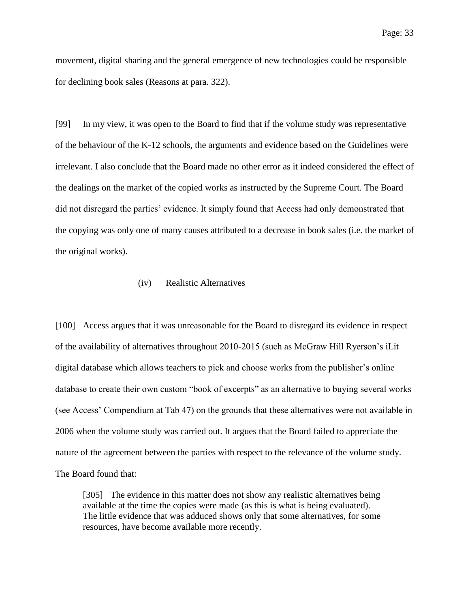movement, digital sharing and the general emergence of new technologies could be responsible for declining book sales (Reasons at para. 322).

[99] In my view, it was open to the Board to find that if the volume study was representative of the behaviour of the K-12 schools, the arguments and evidence based on the Guidelines were irrelevant. I also conclude that the Board made no other error as it indeed considered the effect of the dealings on the market of the copied works as instructed by the Supreme Court. The Board did not disregard the parties' evidence. It simply found that Access had only demonstrated that the copying was only one of many causes attributed to a decrease in book sales (i.e. the market of the original works).

### (iv) Realistic Alternatives

[100] Access argues that it was unreasonable for the Board to disregard its evidence in respect of the availability of alternatives throughout 2010-2015 (such as McGraw Hill Ryerson's iLit digital database which allows teachers to pick and choose works from the publisher's online database to create their own custom "book of excerpts" as an alternative to buying several works (see Access' Compendium at Tab 47) on the grounds that these alternatives were not available in 2006 when the volume study was carried out. It argues that the Board failed to appreciate the nature of the agreement between the parties with respect to the relevance of the volume study. The Board found that:

[305] The evidence in this matter does not show any realistic alternatives being available at the time the copies were made (as this is what is being evaluated). The little evidence that was adduced shows only that some alternatives, for some resources, have become available more recently.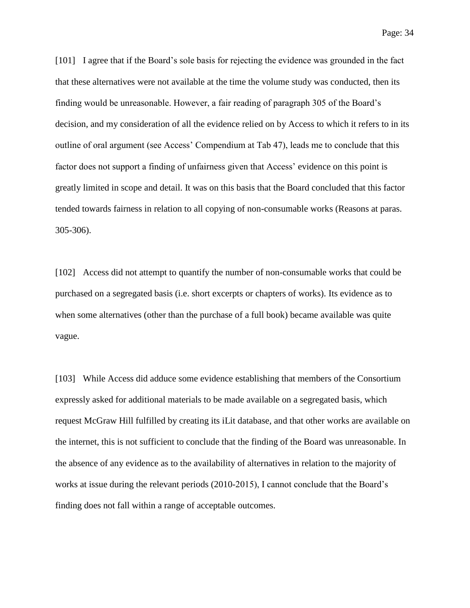[101] I agree that if the Board's sole basis for rejecting the evidence was grounded in the fact that these alternatives were not available at the time the volume study was conducted, then its finding would be unreasonable. However, a fair reading of paragraph 305 of the Board's decision, and my consideration of all the evidence relied on by Access to which it refers to in its outline of oral argument (see Access' Compendium at Tab 47), leads me to conclude that this factor does not support a finding of unfairness given that Access' evidence on this point is greatly limited in scope and detail. It was on this basis that the Board concluded that this factor tended towards fairness in relation to all copying of non-consumable works (Reasons at paras. 305-306).

[102] Access did not attempt to quantify the number of non-consumable works that could be purchased on a segregated basis (i.e. short excerpts or chapters of works). Its evidence as to when some alternatives (other than the purchase of a full book) became available was quite vague.

[103] While Access did adduce some evidence establishing that members of the Consortium expressly asked for additional materials to be made available on a segregated basis, which request McGraw Hill fulfilled by creating its iLit database, and that other works are available on the internet, this is not sufficient to conclude that the finding of the Board was unreasonable. In the absence of any evidence as to the availability of alternatives in relation to the majority of works at issue during the relevant periods (2010-2015), I cannot conclude that the Board's finding does not fall within a range of acceptable outcomes.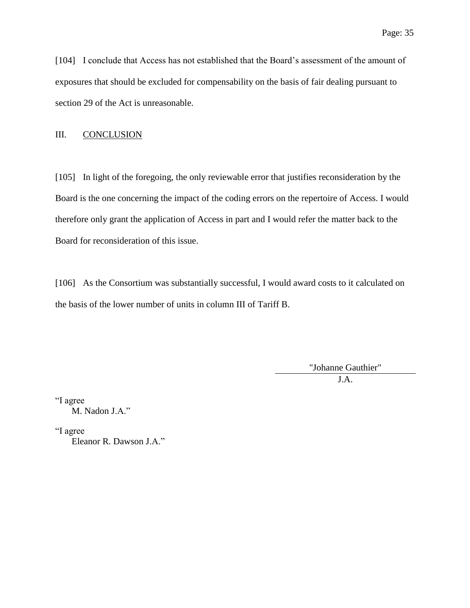[104] I conclude that Access has not established that the Board's assessment of the amount of exposures that should be excluded for compensability on the basis of fair dealing pursuant to section 29 of the Act is unreasonable.

#### III. CONCLUSION

[105] In light of the foregoing, the only reviewable error that justifies reconsideration by the Board is the one concerning the impact of the coding errors on the repertoire of Access. I would therefore only grant the application of Access in part and I would refer the matter back to the Board for reconsideration of this issue.

[106] As the Consortium was substantially successful, I would award costs to it calculated on the basis of the lower number of units in column III of Tariff B.

> "Johanne Gauthier" J.A.

"I agree M. Nadon J.A."

"I agree

Eleanor R. Dawson J.A."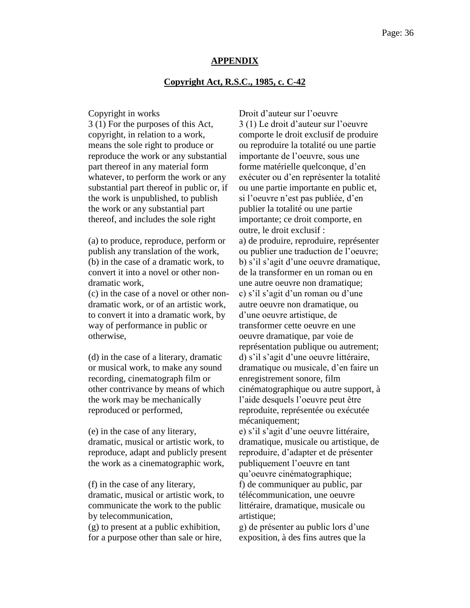#### **APPENDIX**

#### **Copyright Act, R.S.C., 1985, c. C-42**

3 (1) For the purposes of this Act, copyright, in relation to a work, means the sole right to produce or reproduce the work or any substantial part thereof in any material form whatever, to perform the work or any substantial part thereof in public or, if the work is unpublished, to publish the work or any substantial part thereof, and includes the sole right

(a) to produce, reproduce, perform or publish any translation of the work, (b) in the case of a dramatic work, to convert it into a novel or other nondramatic work,

(c) in the case of a novel or other nondramatic work, or of an artistic work, to convert it into a dramatic work, by way of performance in public or otherwise,

(d) in the case of a literary, dramatic or musical work, to make any sound recording, cinematograph film or other contrivance by means of which the work may be mechanically reproduced or performed,

(e) in the case of any literary, dramatic, musical or artistic work, to reproduce, adapt and publicly present the work as a cinematographic work,

(f) in the case of any literary, dramatic, musical or artistic work, to communicate the work to the public by telecommunication,

(g) to present at a public exhibition, for a purpose other than sale or hire,

Copyright in works Droit d'auteur sur l'oeuvre 3 (1) Le droit d'auteur sur l'oeuvre comporte le droit exclusif de produire ou reproduire la totalité ou une partie importante de l'oeuvre, sous une forme matérielle quelconque, d'en exécuter ou d'en représenter la totalité ou une partie importante en public et, si l'oeuvre n'est pas publiée, d'en publier la totalité ou une partie importante; ce droit comporte, en outre, le droit exclusif : a) de produire, reproduire, représenter ou publier une traduction de l'oeuvre; b) s'il s'agit d'une oeuvre dramatique, de la transformer en un roman ou en une autre oeuvre non dramatique; c) s'il s'agit d'un roman ou d'une autre oeuvre non dramatique, ou d'une oeuvre artistique, de transformer cette oeuvre en une oeuvre dramatique, par voie de représentation publique ou autrement; d) s'il s'agit d'une oeuvre littéraire, dramatique ou musicale, d'en faire un enregistrement sonore, film cinématographique ou autre support, à l'aide desquels l'oeuvre peut être reproduite, représentée ou exécutée mécaniquement;

e) s'il s'agit d'une oeuvre littéraire, dramatique, musicale ou artistique, de reproduire, d'adapter et de présenter publiquement l'oeuvre en tant qu'oeuvre cinématographique;

f) de communiquer au public, par télécommunication, une oeuvre littéraire, dramatique, musicale ou artistique;

g) de présenter au public lors d'une exposition, à des fins autres que la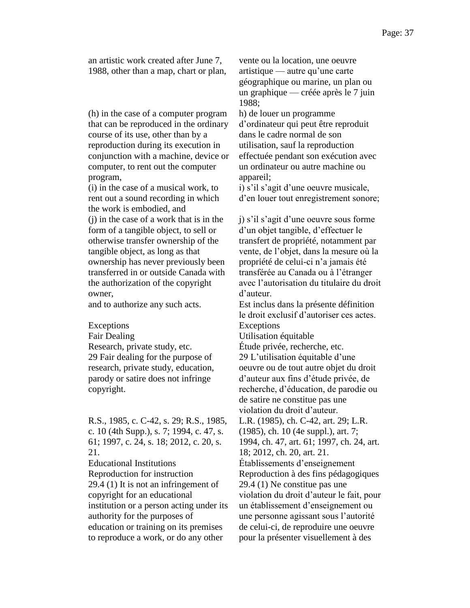an artistic work created after June 7, 1988, other than a map, chart or plan,

(h) in the case of a computer program that can be reproduced in the ordinary course of its use, other than by a reproduction during its execution in conjunction with a machine, device or computer, to rent out the computer program,

(i) in the case of a musical work, to rent out a sound recording in which the work is embodied, and (j) in the case of a work that is in the form of a tangible object, to sell or otherwise transfer ownership of the tangible object, as long as that ownership has never previously been transferred in or outside Canada with the authorization of the copyright owner,

Fair Dealing<br>
Research, private study, etc.<br>
Etude privée, rechero 29 Fair dealing for the purpose of research, private study, education, parody or satire does not infringe copyright.

R.S., 1985, c. C-42, s. 29; R.S., 1985, c. 10 (4th Supp.), s. 7; 1994, c. 47, s. 61; 1997, c. 24, s. 18; 2012, c. 20, s. 21.

Educational Institutions Établissements d'enseignement 29.4 (1) It is not an infringement of copyright for an educational institution or a person acting under its authority for the purposes of education or training on its premises to reproduce a work, or do any other

vente ou la location, une oeuvre artistique — autre qu'une carte géographique ou marine, un plan ou un graphique — créée après le 7 juin 1988;

h) de louer un programme d'ordinateur qui peut être reproduit dans le cadre normal de son utilisation, sauf la reproduction effectuée pendant son exécution avec un ordinateur ou autre machine ou appareil;

i) s'il s'agit d'une oeuvre musicale, d'en louer tout enregistrement sonore;

j) s'il s'agit d'une oeuvre sous forme d'un objet tangible, d'effectuer le transfert de propriété, notamment par vente, de l'objet, dans la mesure où la propriété de celui-ci n'a jamais été transférée au Canada ou à l'étranger avec l'autorisation du titulaire du droit d'auteur.

and to authorize any such acts. Est inclus dans la présente définition le droit exclusif d'autoriser ces actes. Exceptions Exceptions

Étude privée, recherche, etc. 29 L'utilisation équitable d'une oeuvre ou de tout autre objet du droit d'auteur aux fins d'étude privée, de recherche, d'éducation, de parodie ou de satire ne constitue pas une violation du droit d'auteur.

L.R. (1985), ch. C-42, art. 29; L.R. (1985), ch. 10 (4e suppl.), art. 7;

1994, ch. 47, art. 61; 1997, ch. 24, art. 18; 2012, ch. 20, art. 21.

Reproduction for instruction Reproduction à des fins pédagogiques 29.4 (1) Ne constitue pas une violation du droit d'auteur le fait, pour un établissement d'enseignement ou une personne agissant sous l'autorité de celui-ci, de reproduire une oeuvre pour la présenter visuellement à des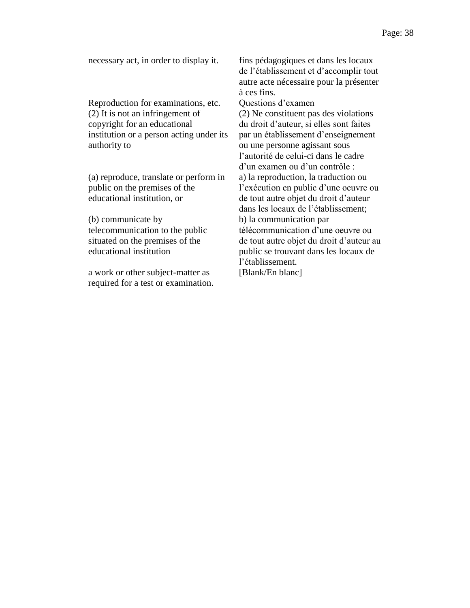Reproduction for examinations, etc. Questions d'examen (2) It is not an infringement of copyright for an educational institution or a person acting under its authority to

(a) reproduce, translate or perform in public on the premises of the educational institution, or

(b) communicate by telecommunication to the public situated on the premises of the educational institution

a work or other subject-matter as required for a test or examination.

necessary act, in order to display it. fins pédagogiques et dans les locaux de l'établissement et d'accomplir tout autre acte nécessaire pour la présenter à ces fins. (2) Ne constituent pas des violations du droit d'auteur, si elles sont faites par un établissement d'enseignement ou une personne agissant sous l'autorité de celui-ci dans le cadre d'un examen ou d'un contrôle : a) la reproduction, la traduction ou l'exécution en public d'une oeuvre ou de tout autre objet du droit d'auteur dans les locaux de l'établissement; b) la communication par télécommunication d'une oeuvre ou de tout autre objet du droit d'auteur au public se trouvant dans les locaux de l'établissement. [Blank/En blanc]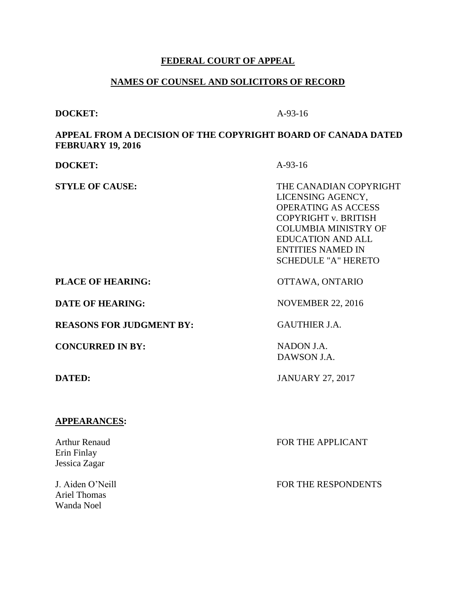# **FEDERAL COURT OF APPEAL**

# **NAMES OF COUNSEL AND SOLICITORS OF RECORD**

#### **DOCKET:** A-93-16

Wanda Noel

### **APPEAL FROM A DECISION OF THE COPYRIGHT BOARD OF CANADA DATED FEBRUARY 19, 2016**

| <b>DOCKET:</b>                                       | $A-93-16$                                                                                                                                                                                                              |
|------------------------------------------------------|------------------------------------------------------------------------------------------------------------------------------------------------------------------------------------------------------------------------|
| <b>STYLE OF CAUSE:</b>                               | THE CANADIAN COPYRIGHT<br>LICENSING AGENCY,<br><b>OPERATING AS ACCESS</b><br>COPYRIGHT v. BRITISH<br><b>COLUMBIA MINISTRY OF</b><br><b>EDUCATION AND ALL</b><br><b>ENTITIES NAMED IN</b><br><b>SCHEDULE "A" HERETO</b> |
| <b>PLACE OF HEARING:</b>                             | OTTAWA, ONTARIO                                                                                                                                                                                                        |
| <b>DATE OF HEARING:</b>                              | <b>NOVEMBER 22, 2016</b>                                                                                                                                                                                               |
| <b>REASONS FOR JUDGMENT BY:</b>                      | <b>GAUTHIER J.A.</b>                                                                                                                                                                                                   |
| <b>CONCURRED IN BY:</b>                              | NADON J.A.<br>DAWSON J.A.                                                                                                                                                                                              |
| <b>DATED:</b>                                        | <b>JANUARY 27, 2017</b>                                                                                                                                                                                                |
|                                                      |                                                                                                                                                                                                                        |
| <b>APPEARANCES:</b>                                  |                                                                                                                                                                                                                        |
| <b>Arthur Renaud</b><br>Erin Finlay<br>Jessica Zagar | FOR THE APPLICANT                                                                                                                                                                                                      |
| J. Aiden O'Neill<br><b>Ariel Thomas</b>              | FOR THE RESPONDENTS                                                                                                                                                                                                    |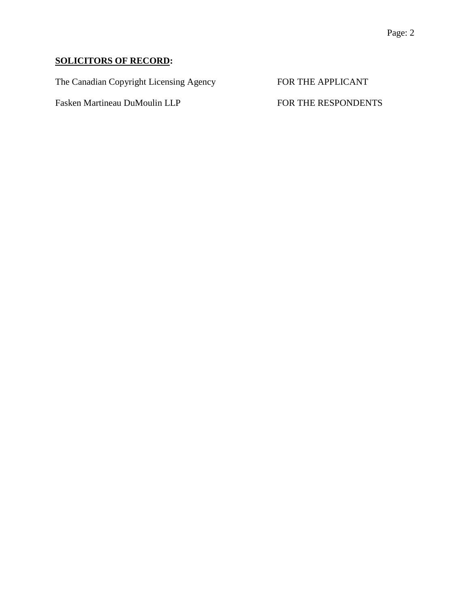# **SOLICITORS OF RECORD:**

The Canadian Copyright Licensing Agency FOR THE APPLICANT

Fasken Martineau DuMoulin LLP FOR THE RESPONDENTS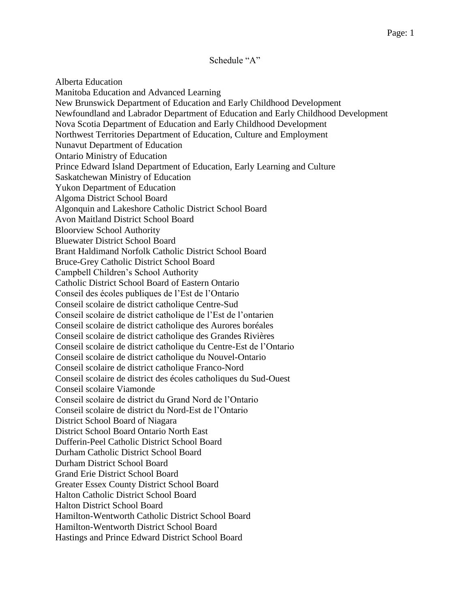Schedule "A"

Alberta Education Manitoba Education and Advanced Learning New Brunswick Department of Education and Early Childhood Development Newfoundland and Labrador Department of Education and Early Childhood Development Nova Scotia Department of Education and Early Childhood Development Northwest Territories Department of Education, Culture and Employment Nunavut Department of Education Ontario Ministry of Education Prince Edward Island Department of Education, Early Learning and Culture Saskatchewan Ministry of Education Yukon Department of Education Algoma District School Board Algonquin and Lakeshore Catholic District School Board Avon Maitland District School Board Bloorview School Authority Bluewater District School Board Brant Haldimand Norfolk Catholic District School Board Bruce-Grey Catholic District School Board Campbell Children's School Authority Catholic District School Board of Eastern Ontario Conseil des écoles publiques de l'Est de l'Ontario Conseil scolaire de district catholique Centre-Sud Conseil scolaire de district catholique de l'Est de l'ontarien Conseil scolaire de district catholique des Aurores boréales Conseil scolaire de district catholique des Grandes Rivières Conseil scolaire de district catholique du Centre-Est de l'Ontario Conseil scolaire de district catholique du Nouvel-Ontario Conseil scolaire de district catholique Franco-Nord Conseil scolaire de district des écoles catholiques du Sud-Ouest Conseil scolaire Viamonde Conseil scolaire de district du Grand Nord de l'Ontario Conseil scolaire de district du Nord-Est de l'Ontario District School Board of Niagara District School Board Ontario North East Dufferin-Peel Catholic District School Board Durham Catholic District School Board Durham District School Board Grand Erie District School Board Greater Essex County District School Board Halton Catholic District School Board Halton District School Board Hamilton-Wentworth Catholic District School Board Hamilton-Wentworth District School Board Hastings and Prince Edward District School Board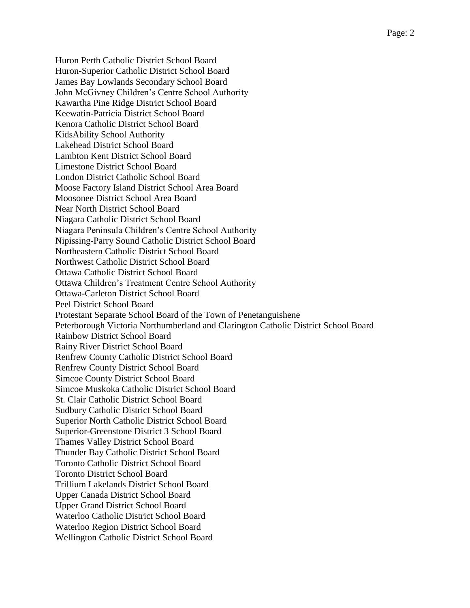Huron Perth Catholic District School Board Huron-Superior Catholic District School Board James Bay Lowlands Secondary School Board John McGivney Children's Centre School Authority Kawartha Pine Ridge District School Board Keewatin-Patricia District School Board Kenora Catholic District School Board KidsAbility School Authority Lakehead District School Board Lambton Kent District School Board Limestone District School Board London District Catholic School Board Moose Factory Island District School Area Board Moosonee District School Area Board Near North District School Board Niagara Catholic District School Board Niagara Peninsula Children's Centre School Authority Nipissing-Parry Sound Catholic District School Board Northeastern Catholic District School Board Northwest Catholic District School Board Ottawa Catholic District School Board Ottawa Children's Treatment Centre School Authority Ottawa-Carleton District School Board Peel District School Board Protestant Separate School Board of the Town of Penetanguishene Peterborough Victoria Northumberland and Clarington Catholic District School Board Rainbow District School Board Rainy River District School Board Renfrew County Catholic District School Board Renfrew County District School Board Simcoe County District School Board Simcoe Muskoka Catholic District School Board St. Clair Catholic District School Board Sudbury Catholic District School Board Superior North Catholic District School Board Superior-Greenstone District 3 School Board Thames Valley District School Board Thunder Bay Catholic District School Board Toronto Catholic District School Board Toronto District School Board Trillium Lakelands District School Board Upper Canada District School Board Upper Grand District School Board Waterloo Catholic District School Board Waterloo Region District School Board Wellington Catholic District School Board